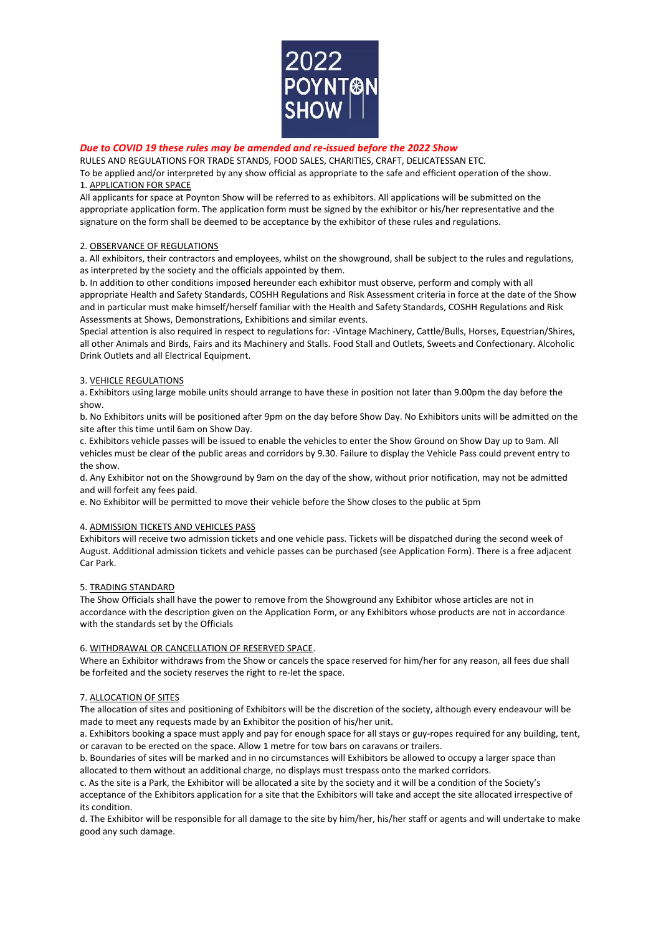

# *Due to COVID 19 these rules may be amended and re-issued before the 2022 Show*

RULES AND REGULATIONS FOR TRADE STANDS, FOOD SALES, CHARITIES, CRAFT, DELICATESSAN ETC.

To be applied and/or interpreted by any show official as appropriate to the safe and efficient operation of the show. 1. APPLICATION FOR SPACE

All applicants for space at Poynton Show will be referred to as exhibitors. All applications will be submitted on the appropriate application form. The application form must be signed by the exhibitor or his/her representative and the signature on the form shall be deemed to be acceptance by the exhibitor of these rules and regulations.

## 2. OBSERVANCE OF REGULATIONS

a. All exhibitors, their contractors and employees, whilst on the showground, shall be subject to the rules and regulations, as interpreted by the society and the officials appointed by them.

b. In addition to other conditions imposed hereunder each exhibitor must observe, perform and comply with all appropriate Health and Safety Standards, COSHH Regulations and Risk Assessment criteria in force at the date of the Show and in particular must make himself/herself familiar with the Health and Safety Standards, COSHH Regulations and Risk Assessments at Shows, Demonstrations, Exhibitions and similar events.

Special attention is also required in respect to regulations for: -Vintage Machinery, Cattle/Bulls, Horses, Equestrian/Shires, all other Animals and Birds, Fairs and its Machinery and Stalls. Food Stall and Outlets, Sweets and Confectionary. Alcoholic Drink Outlets and all Electrical Equipment.

## 3. VEHICLE REGULATIONS

a. Exhibitors using large mobile units should arrange to have these in position not later than 9.00pm the day before the show.

b. No Exhibitors units will be positioned after 9pm on the day before Show Day. No Exhibitors units will be admitted on the site after this time until 6am on Show Day.

c. Exhibitors vehicle passes will be issued to enable the vehicles to enter the Show Ground on Show Day up to 9am. All vehicles must be clear of the public areas and corridors by 9.30. Failure to display the Vehicle Pass could prevent entry to the show.

d. Any Exhibitor not on the Showground by 9am on the day of the show, without prior notification, may not be admitted and will forfeit any fees paid.

e. No Exhibitor will be permitted to move their vehicle before the Show closes to the public at 5pm

# 4. ADMISSION TICKETS AND VEHICLES PASS

Exhibitors will receive two admission tickets and one vehicle pass. Tickets will be dispatched during the second week of August. Additional admission tickets and vehicle passes can be purchased (see Application Form). There is a free adjacent Car Park.

## 5. TRADING STANDARD

The Show Officials shall have the power to remove from the Showground any Exhibitor whose articles are not in accordance with the description given on the Application Form, or any Exhibitors whose products are not in accordance with the standards set by the Officials

## 6. WITHDRAWAL OR CANCELLATION OF RESERVED SPACE.

Where an Exhibitor withdraws from the Show or cancels the space reserved for him/her for any reason, all fees due shall be forfeited and the society reserves the right to re-let the space.

## 7. ALLOCATION OF SITES

The allocation of sites and positioning of Exhibitors will be the discretion of the society, although every endeavour will be made to meet any requests made by an Exhibitor the position of his/her unit.

a. Exhibitors booking a space must apply and pay for enough space for all stays or guy-ropes required for any building, tent, or caravan to be erected on the space. Allow 1 metre for tow bars on caravans or trailers.

b. Boundaries of sites will be marked and in no circumstances will Exhibitors be allowed to occupy a larger space than allocated to them without an additional charge, no displays must trespass onto the marked corridors.

c. As the site is a Park, the Exhibitor will be allocated a site by the society and it will be a condition of the Society's acceptance of the Exhibitors application for a site that the Exhibitors will take and accept the site allocated irrespective of its condition.

d. The Exhibitor will be responsible for all damage to the site by him/her, his/her staff or agents and will undertake to make good any such damage.